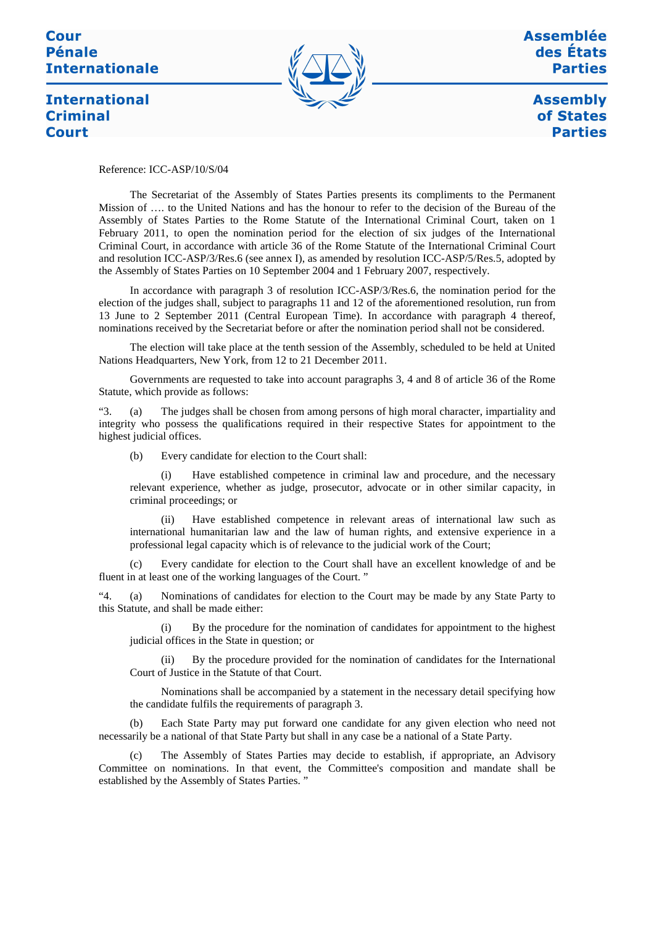# **Pénale Internationale**

**International** 

**Criminal** 



**Assemblée** des États **Parties** 

> **Assembly** of States **Parties**

**Court** 

Reference: ICC-ASP/10/S/04

The Secretariat of the Assembly of States Parties presents its compliments to the Permanent Mission of …. to the United Nations and has the honour to refer to the decision of the Bureau of the Assembly of States Parties to the Rome Statute of the International Criminal Court, taken on 1 February 2011, to open the nomination period for the election of six judges of the International Criminal Court, in accordance with article 36 of the Rome Statute of the International Criminal Court and resolution ICC-ASP/3/Res.6 (see annex I), as amended by resolution ICC-ASP/5/Res.5, adopted by the Assembly of States Parties on 10 September 2004 and 1 February 2007, respectively.

In accordance with paragraph 3 of resolution ICC-ASP/3/Res.6, the nomination period for the election of the judges shall, subject to paragraphs 11 and 12 of the aforementioned resolution, run from 13 June to 2 September 2011 (Central European Time). In accordance with paragraph 4 thereof, nominations received by the Secretariat before or after the nomination period shall not be considered.

The election will take place at the tenth session of the Assembly, scheduled to be held at United Nations Headquarters, New York, from 12 to 21 December 2011.

Governments are requested to take into account paragraphs 3, 4 and 8 of article 36 of the Rome Statute, which provide as follows:

"3. (a) The judges shall be chosen from among persons of high moral character, impartiality and integrity who possess the qualifications required in their respective States for appointment to the highest judicial offices.

(b) Every candidate for election to the Court shall:

(i) Have established competence in criminal law and procedure, and the necessary relevant experience, whether as judge, prosecutor, advocate or in other similar capacity, in criminal proceedings; or

(ii) Have established competence in relevant areas of international law such as international humanitarian law and the law of human rights, and extensive experience in a professional legal capacity which is of relevance to the judicial work of the Court;

Every candidate for election to the Court shall have an excellent knowledge of and be fluent in at least one of the working languages of the Court. "

"4. (a) Nominations of candidates for election to the Court may be made by any State Party to this Statute, and shall be made either:

(i) By the procedure for the nomination of candidates for appointment to the highest judicial offices in the State in question; or

By the procedure provided for the nomination of candidates for the International Court of Justice in the Statute of that Court.

Nominations shall be accompanied by a statement in the necessary detail specifying how the candidate fulfils the requirements of paragraph 3.

(b) Each State Party may put forward one candidate for any given election who need not necessarily be a national of that State Party but shall in any case be a national of a State Party.

The Assembly of States Parties may decide to establish, if appropriate, an Advisory Committee on nominations. In that event, the Committee's composition and mandate shall be established by the Assembly of States Parties. "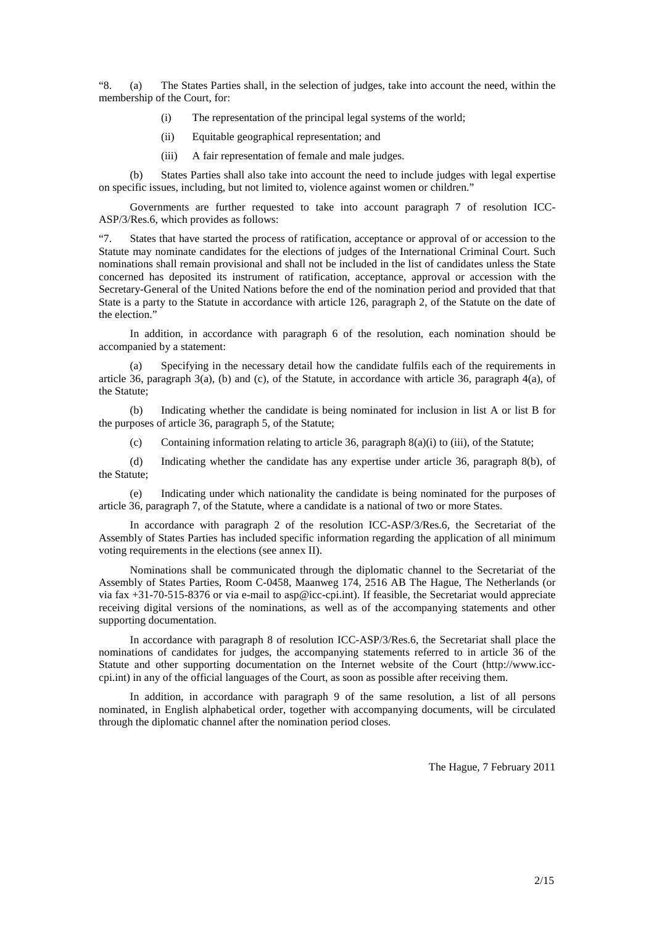"8. (a) The States Parties shall, in the selection of judges, take into account the need, within the membership of the Court, for:

- (i) The representation of the principal legal systems of the world;
- (ii) Equitable geographical representation; and
- (iii) A fair representation of female and male judges.

(b) States Parties shall also take into account the need to include judges with legal expertise on specific issues, including, but not limited to, violence against women or children."

Governments are further requested to take into account paragraph 7 of resolution ICC-ASP/3/Res.6, which provides as follows:

"7. States that have started the process of ratification, acceptance or approval of or accession to the Statute may nominate candidates for the elections of judges of the International Criminal Court. Such nominations shall remain provisional and shall not be included in the list of candidates unless the State concerned has deposited its instrument of ratification, acceptance, approval or accession with the Secretary-General of the United Nations before the end of the nomination period and provided that that State is a party to the Statute in accordance with article 126, paragraph 2, of the Statute on the date of the election."

In addition, in accordance with paragraph 6 of the resolution, each nomination should be accompanied by a statement:

(a) Specifying in the necessary detail how the candidate fulfils each of the requirements in article 36, paragraph 3(a), (b) and (c), of the Statute, in accordance with article 36, paragraph 4(a), of the Statute;

(b) Indicating whether the candidate is being nominated for inclusion in list A or list B for the purposes of article 36, paragraph 5, of the Statute;

(c) Containing information relating to article 36, paragraph  $8(a)(i)$  to (iii), of the Statute;

(d) Indicating whether the candidate has any expertise under article 36, paragraph 8(b), of the Statute;

(e) Indicating under which nationality the candidate is being nominated for the purposes of article 36, paragraph 7, of the Statute, where a candidate is a national of two or more States.

In accordance with paragraph 2 of the resolution ICC-ASP/3/Res.6, the Secretariat of the Assembly of States Parties has included specific information regarding the application of all minimum voting requirements in the elections (see annex II).

Nominations shall be communicated through the diplomatic channel to the Secretariat of the Assembly of States Parties, Room C-0458, Maanweg 174, 2516 AB The Hague, The Netherlands (or via fax +31-70-515-8376 or via e-mail to asp@icc-cpi.int). If feasible, the Secretariat would appreciate receiving digital versions of the nominations, as well as of the accompanying statements and other supporting documentation.

In accordance with paragraph 8 of resolution ICC-ASP/3/Res.6, the Secretariat shall place the nominations of candidates for judges, the accompanying statements referred to in article 36 of the Statute and other supporting documentation on the Internet website of the Court (http://www.icccpi.int) in any of the official languages of the Court, as soon as possible after receiving them.

In addition, in accordance with paragraph 9 of the same resolution, a list of all persons nominated, in English alphabetical order, together with accompanying documents, will be circulated through the diplomatic channel after the nomination period closes.

The Hague, 7 February 2011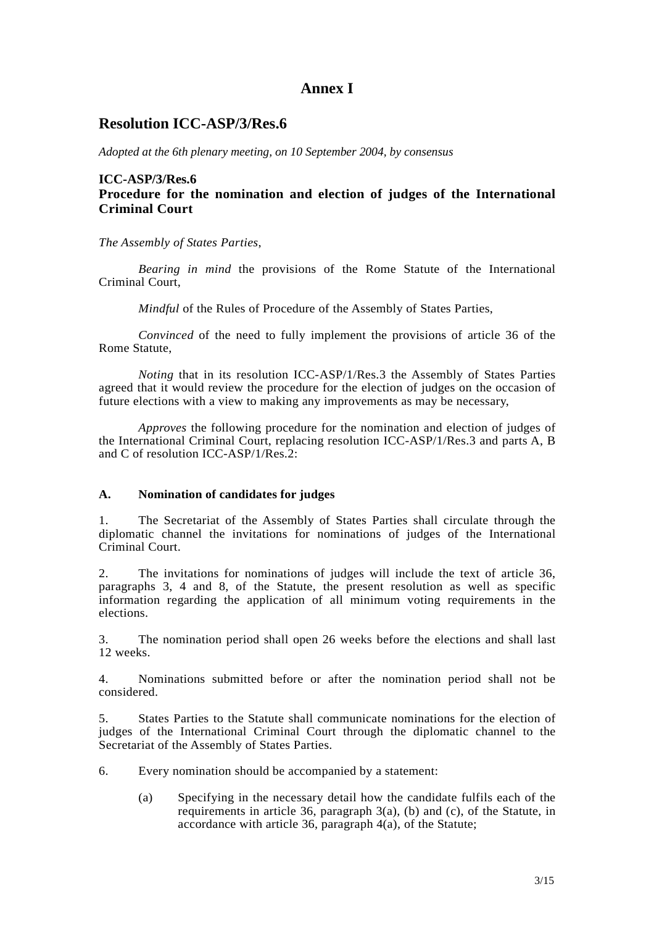## **Annex I**

### **Resolution ICC-ASP/3/Res.6**

*Adopted at the 6th plenary meeting, on 10 September 2004, by consensus* 

#### **ICC-ASP/3/Res.6 Procedure for the nomination and election of judges of the International Criminal Court**

*The Assembly of States Parties*,

 *Bearing in mind* the provisions of the Rome Statute of the International Criminal Court,

 *Mindful* of the Rules of Procedure of the Assembly of States Parties,

 *Convinced* of the need to fully implement the provisions of article 36 of the Rome Statute,

 *Noting* that in its resolution ICC-ASP/1/Res.3 the Assembly of States Parties agreed that it would review the procedure for the election of judges on the occasion of future elections with a view to making any improvements as may be necessary,

 *Approves* the following procedure for the nomination and election of judges of the International Criminal Court, replacing resolution ICC-ASP/1/Res.3 and parts A, B and C of resolution ICC-ASP/1/Res.2:

#### **A. Nomination of candidates for judges**

1. The Secretariat of the Assembly of States Parties shall circulate through the diplomatic channel the invitations for nominations of judges of the International Criminal Court.

2. The invitations for nominations of judges will include the text of article 36, paragraphs 3, 4 and 8, of the Statute, the present resolution as well as specific information regarding the application of all minimum voting requirements in the elections.

3. The nomination period shall open 26 weeks before the elections and shall last 12 weeks.

4. Nominations submitted before or after the nomination period shall not be considered.

5. States Parties to the Statute shall communicate nominations for the election of judges of the International Criminal Court through the diplomatic channel to the Secretariat of the Assembly of States Parties.

- 6. Every nomination should be accompanied by a statement:
	- (a) Specifying in the necessary detail how the candidate fulfils each of the requirements in article 36, paragraph 3(a), (b) and (c), of the Statute, in accordance with article 36, paragraph 4(a), of the Statute;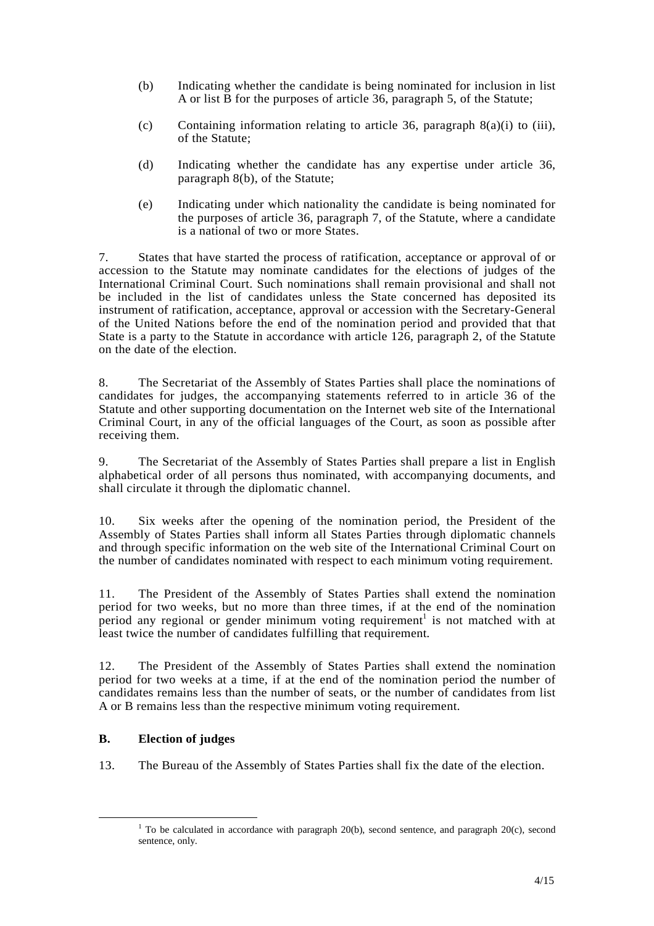- (b) Indicating whether the candidate is being nominated for inclusion in list A or list B for the purposes of article 36, paragraph 5, of the Statute;
- (c) Containing information relating to article 36, paragraph 8(a)(i) to (iii), of the Statute;
- (d) Indicating whether the candidate has any expertise under article 36, paragraph 8(b), of the Statute;
- (e) Indicating under which nationality the candidate is being nominated for the purposes of article 36, paragraph 7, of the Statute, where a candidate is a national of two or more States.

7. States that have started the process of ratification, acceptance or approval of or accession to the Statute may nominate candidates for the elections of judges of the International Criminal Court. Such nominations shall remain provisional and shall not be included in the list of candidates unless the State concerned has deposited its instrument of ratification, acceptance, approval or accession with the Secretary-General of the United Nations before the end of the nomination period and provided that that State is a party to the Statute in accordance with article 126, paragraph 2, of the Statute on the date of the election.

8. The Secretariat of the Assembly of States Parties shall place the nominations of candidates for judges, the accompanying statements referred to in article 36 of the Statute and other supporting documentation on the Internet web site of the International Criminal Court, in any of the official languages of the Court, as soon as possible after receiving them.

9. The Secretariat of the Assembly of States Parties shall prepare a list in English alphabetical order of all persons thus nominated, with accompanying documents, and shall circulate it through the diplomatic channel.

10. Six weeks after the opening of the nomination period, the President of the Assembly of States Parties shall inform all States Parties through diplomatic channels and through specific information on the web site of the International Criminal Court on the number of candidates nominated with respect to each minimum voting requirement.

11. The President of the Assembly of States Parties shall extend the nomination period for two weeks, but no more than three times, if at the end of the nomination period any regional or gender minimum voting requirement<sup>1</sup> is not matched with at least twice the number of candidates fulfilling that requirement*.* 

12. The President of the Assembly of States Parties shall extend the nomination period for two weeks at a time, if at the end of the nomination period the number of candidates remains less than the number of seats, or the number of candidates from list A or B remains less than the respective minimum voting requirement.

#### **B. Election of judges**

 $\overline{a}$ 

13. The Bureau of the Assembly of States Parties shall fix the date of the election.

<sup>&</sup>lt;sup>1</sup> To be calculated in accordance with paragraph 20(b), second sentence, and paragraph 20(c), second sentence, only.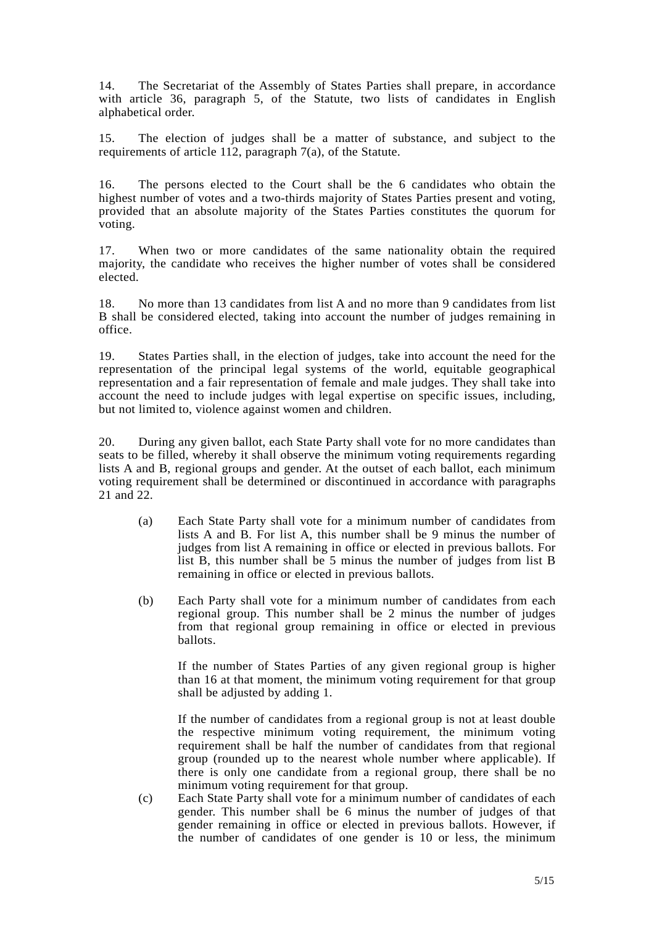14. The Secretariat of the Assembly of States Parties shall prepare, in accordance with article 36, paragraph 5, of the Statute, two lists of candidates in English alphabetical order.

15. The election of judges shall be a matter of substance, and subject to the requirements of article 112, paragraph 7(a), of the Statute.

16. The persons elected to the Court shall be the 6 candidates who obtain the highest number of votes and a two-thirds majority of States Parties present and voting, provided that an absolute majority of the States Parties constitutes the quorum for voting.

17. When two or more candidates of the same nationality obtain the required majority, the candidate who receives the higher number of votes shall be considered elected.

18. No more than 13 candidates from list A and no more than 9 candidates from list B shall be considered elected, taking into account the number of judges remaining in office.

19. States Parties shall, in the election of judges, take into account the need for the representation of the principal legal systems of the world, equitable geographical representation and a fair representation of female and male judges. They shall take into account the need to include judges with legal expertise on specific issues, including, but not limited to, violence against women and children.

20. During any given ballot, each State Party shall vote for no more candidates than seats to be filled, whereby it shall observe the minimum voting requirements regarding lists A and B, regional groups and gender. At the outset of each ballot, each minimum voting requirement shall be determined or discontinued in accordance with paragraphs 21 and 22.

- (a) Each State Party shall vote for a minimum number of candidates from lists A and B. For list A, this number shall be 9 minus the number of judges from list A remaining in office or elected in previous ballots. For list B, this number shall be 5 minus the number of judges from list B remaining in office or elected in previous ballots.
- (b) Each Party shall vote for a minimum number of candidates from each regional group. This number shall be 2 minus the number of judges from that regional group remaining in office or elected in previous ballots.

If the number of States Parties of any given regional group is higher than 16 at that moment, the minimum voting requirement for that group shall be adjusted by adding 1.

If the number of candidates from a regional group is not at least double the respective minimum voting requirement, the minimum voting requirement shall be half the number of candidates from that regional group (rounded up to the nearest whole number where applicable). If there is only one candidate from a regional group, there shall be no minimum voting requirement for that group.

(c) Each State Party shall vote for a minimum number of candidates of each gender. This number shall be 6 minus the number of judges of that gender remaining in office or elected in previous ballots. However, if the number of candidates of one gender is 10 or less, the minimum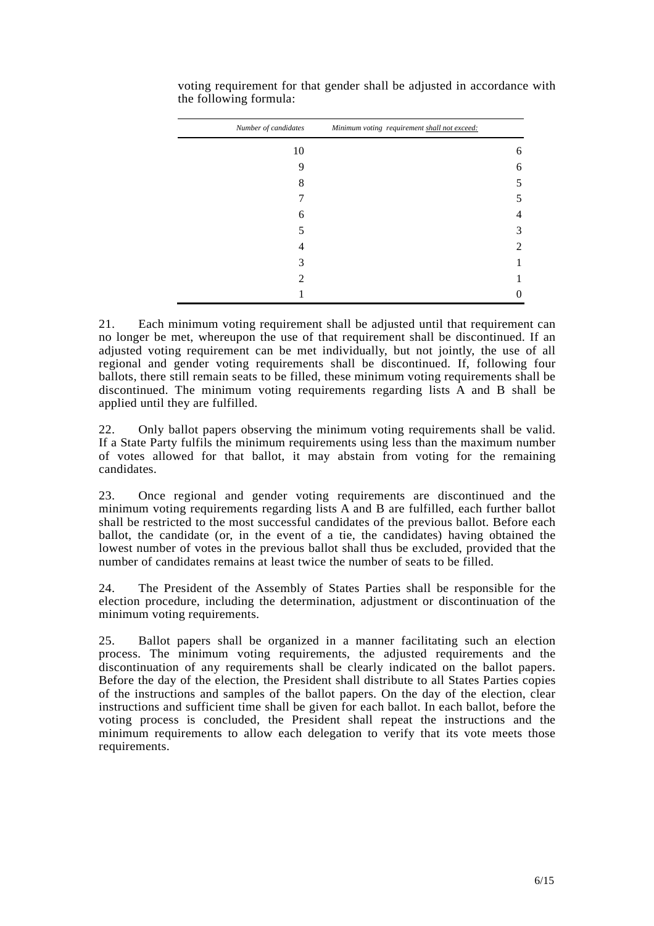| Number of candidates | Minimum voting requirement shall not exceed: |   |
|----------------------|----------------------------------------------|---|
| 10                   |                                              | 6 |
| 9                    |                                              | 6 |
| 8                    |                                              | 5 |
|                      |                                              | 5 |
| 6                    |                                              | 4 |
| 5                    |                                              | 3 |
|                      |                                              | 2 |
| 3                    |                                              |   |
| 2                    |                                              |   |
|                      |                                              | 0 |

voting requirement for that gender shall be adjusted in accordance with the following formula:

21. Each minimum voting requirement shall be adjusted until that requirement can no longer be met, whereupon the use of that requirement shall be discontinued. If an adjusted voting requirement can be met individually, but not jointly, the use of all regional and gender voting requirements shall be discontinued. If, following four ballots, there still remain seats to be filled, these minimum voting requirements shall be discontinued. The minimum voting requirements regarding lists A and B shall be applied until they are fulfilled.

22. Only ballot papers observing the minimum voting requirements shall be valid. If a State Party fulfils the minimum requirements using less than the maximum number of votes allowed for that ballot, it may abstain from voting for the remaining candidates.

23. Once regional and gender voting requirements are discontinued and the minimum voting requirements regarding lists A and B are fulfilled, each further ballot shall be restricted to the most successful candidates of the previous ballot. Before each ballot, the candidate (or, in the event of a tie, the candidates) having obtained the lowest number of votes in the previous ballot shall thus be excluded, provided that the number of candidates remains at least twice the number of seats to be filled.

24. The President of the Assembly of States Parties shall be responsible for the election procedure, including the determination, adjustment or discontinuation of the minimum voting requirements.

25. Ballot papers shall be organized in a manner facilitating such an election process. The minimum voting requirements, the adjusted requirements and the discontinuation of any requirements shall be clearly indicated on the ballot papers. Before the day of the election, the President shall distribute to all States Parties copies of the instructions and samples of the ballot papers. On the day of the election, clear instructions and sufficient time shall be given for each ballot. In each ballot, before the voting process is concluded, the President shall repeat the instructions and the minimum requirements to allow each delegation to verify that its vote meets those requirements.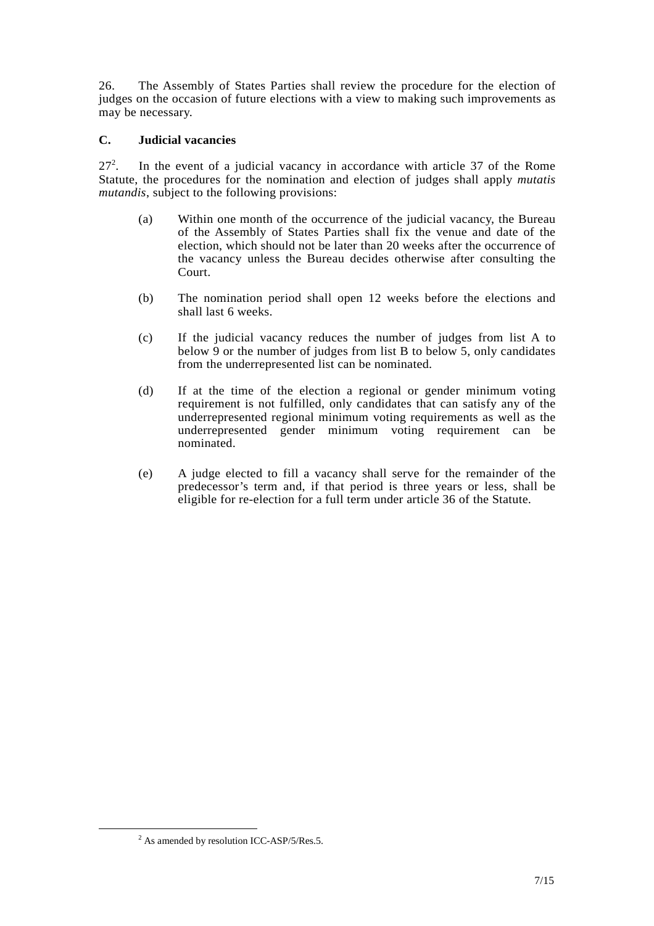26. The Assembly of States Parties shall review the procedure for the election of judges on the occasion of future elections with a view to making such improvements as may be necessary.

#### **C. Judicial vacancies**

 $27^{2}$ . . In the event of a judicial vacancy in accordance with article 37 of the Rome Statute, the procedures for the nomination and election of judges shall apply *mutatis mutandis*, subject to the following provisions:

- (a) Within one month of the occurrence of the judicial vacancy, the Bureau of the Assembly of States Parties shall fix the venue and date of the election, which should not be later than 20 weeks after the occurrence of the vacancy unless the Bureau decides otherwise after consulting the Court.
- (b) The nomination period shall open 12 weeks before the elections and shall last 6 weeks.
- (c) If the judicial vacancy reduces the number of judges from list A to below 9 or the number of judges from list B to below 5, only candidates from the underrepresented list can be nominated.
- (d) If at the time of the election a regional or gender minimum voting requirement is not fulfilled, only candidates that can satisfy any of the underrepresented regional minimum voting requirements as well as the underrepresented gender minimum voting requirement can be nominated.
- (e) A judge elected to fill a vacancy shall serve for the remainder of the predecessor's term and, if that period is three years or less, shall be eligible for re-election for a full term under article 36 of the Statute.

 $\overline{a}$ 

 $2$  As amended by resolution ICC-ASP/5/Res.5.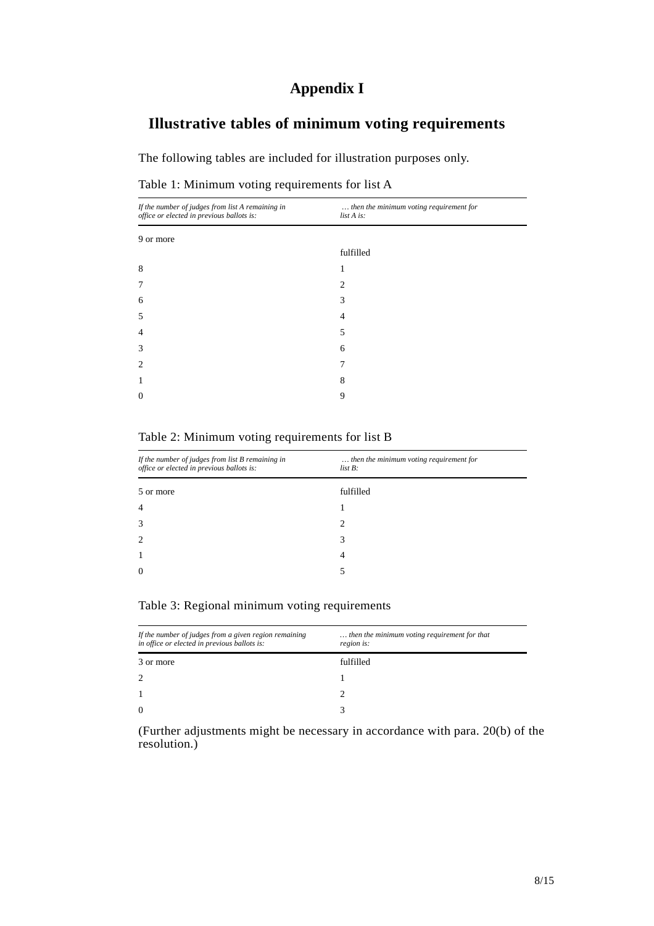# **Appendix I**

# **Illustrative tables of minimum voting requirements**

The following tables are included for illustration purposes only.

|  |  |  |  | Table 1: Minimum voting requirements for list A |  |
|--|--|--|--|-------------------------------------------------|--|
|--|--|--|--|-------------------------------------------------|--|

| then the minimum voting requirement for<br>list A is: |
|-------------------------------------------------------|
|                                                       |
| fulfilled                                             |
|                                                       |
| 2                                                     |
| 3                                                     |
| 4                                                     |
| 5                                                     |
| 6                                                     |
|                                                       |
| 8                                                     |
| 9                                                     |
|                                                       |

#### Table 2: Minimum voting requirements for list B

| If the number of judges from list B remaining in<br>office or elected in previous ballots is: | then the minimum voting requirement for<br>$list B$ : |
|-----------------------------------------------------------------------------------------------|-------------------------------------------------------|
| 5 or more                                                                                     | fulfilled                                             |
|                                                                                               |                                                       |
|                                                                                               | $\mathcal{L}$                                         |
|                                                                                               | 3                                                     |
|                                                                                               | 4                                                     |
|                                                                                               |                                                       |
|                                                                                               |                                                       |

#### Table 3: Regional minimum voting requirements

| If the number of judges from a given region remaining<br>in office or elected in previous ballots is: | then the minimum voting requirement for that<br>region is: |
|-------------------------------------------------------------------------------------------------------|------------------------------------------------------------|
| 3 or more                                                                                             | fulfilled                                                  |
| 2                                                                                                     |                                                            |
|                                                                                                       |                                                            |
| $\Omega$                                                                                              |                                                            |

(Further adjustments might be necessary in accordance with para. 20(b) of the resolution.)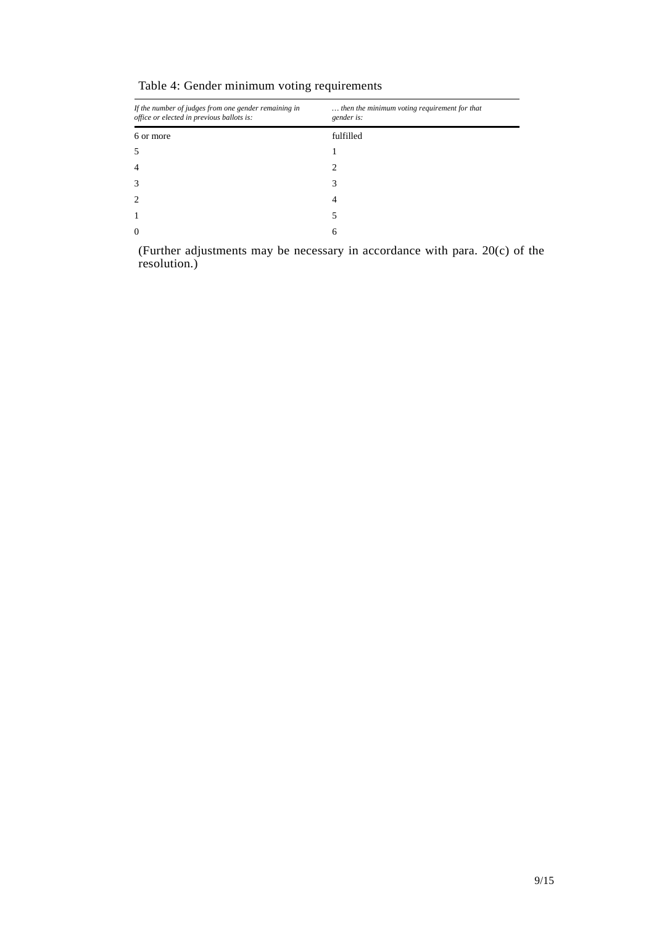| If the number of judges from one gender remaining in<br>office or elected in previous ballots is: | then the minimum voting requirement for that<br>gender is: |
|---------------------------------------------------------------------------------------------------|------------------------------------------------------------|
| 6 or more                                                                                         | fulfilled                                                  |
|                                                                                                   |                                                            |
|                                                                                                   | 2                                                          |
| 3                                                                                                 | 3                                                          |
|                                                                                                   | 4                                                          |
|                                                                                                   | 5                                                          |
| 0                                                                                                 | 6                                                          |

Table 4: Gender minimum voting requirements

(Further adjustments may be necessary in accordance with para. 20(c) of the resolution.)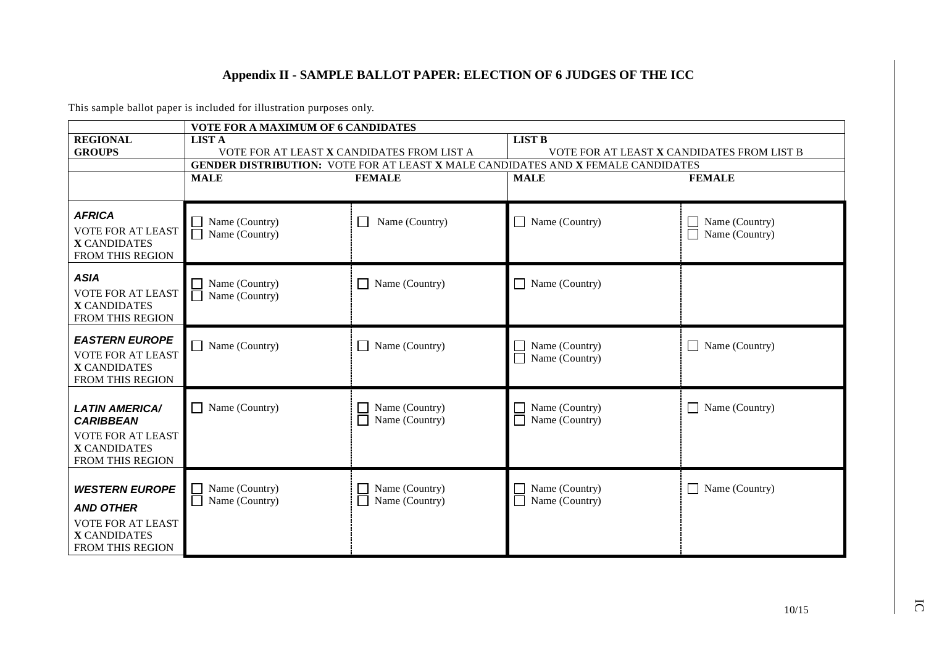### **Appendix II - SAMPLE BALLOT PAPER: ELECTION OF 6 JUDGES OF THE ICC**

This sample ballot paper is included for illustration purposes only.

| <b>VOTE FOR A MAXIMUM OF 6 CANDIDATES</b>                                                                        |                                            |                                  |                                                                                         |                                  |  |  |
|------------------------------------------------------------------------------------------------------------------|--------------------------------------------|----------------------------------|-----------------------------------------------------------------------------------------|----------------------------------|--|--|
| <b>REGIONAL</b>                                                                                                  | <b>LIST A</b>                              |                                  | <b>LIST B</b>                                                                           |                                  |  |  |
| <b>GROUPS</b>                                                                                                    | VOTE FOR AT LEAST X CANDIDATES FROM LIST A |                                  | VOTE FOR AT LEAST X CANDIDATES FROM LIST B                                              |                                  |  |  |
|                                                                                                                  |                                            |                                  | <b>GENDER DISTRIBUTION: VOTE FOR AT LEAST X MALE CANDIDATES AND X FEMALE CANDIDATES</b> |                                  |  |  |
|                                                                                                                  | <b>MALE</b>                                | <b>FEMALE</b>                    | <b>MALE</b>                                                                             | <b>FEMALE</b>                    |  |  |
|                                                                                                                  |                                            |                                  |                                                                                         |                                  |  |  |
| <b>AFRICA</b><br><b>VOTE FOR AT LEAST</b><br><b>X CANDIDATES</b><br><b>FROM THIS REGION</b>                      | Name (Country)<br>Name (Country)           | Name (Country)                   | $\Box$ Name (Country)                                                                   | Name (Country)<br>Name (Country) |  |  |
| <b>ASIA</b><br><b>VOTE FOR AT LEAST</b><br><b>X CANDIDATES</b><br><b>FROM THIS REGION</b>                        | Name (Country)<br>Name (Country)           | Name (Country)                   | $\Box$ Name (Country)                                                                   |                                  |  |  |
| <b>EASTERN EUROPE</b><br><b>VOTE FOR AT LEAST</b><br><b>X CANDIDATES</b><br>FROM THIS REGION                     | $\Box$ Name (Country)                      | Name (Country)                   | Name (Country)<br>Name (Country)                                                        | Name (Country)                   |  |  |
| <b>LATIN AMERICA/</b><br><b>CARIBBEAN</b><br>VOTE FOR AT LEAST<br><b>X CANDIDATES</b><br><b>FROM THIS REGION</b> | Name (Country)                             | Name (Country)<br>Name (Country) | Name (Country)<br>Name (Country)                                                        | Name (Country)                   |  |  |
| <b>WESTERN EUROPE</b><br><b>AND OTHER</b><br>VOTE FOR AT LEAST<br><b>X CANDIDATES</b><br>FROM THIS REGION        | Name (Country)<br>Name (Country)           | Name (Country)<br>Name (Country) | Name (Country)<br>Name (Country)<br>$\blacksquare$                                      | Name (Country)                   |  |  |

IC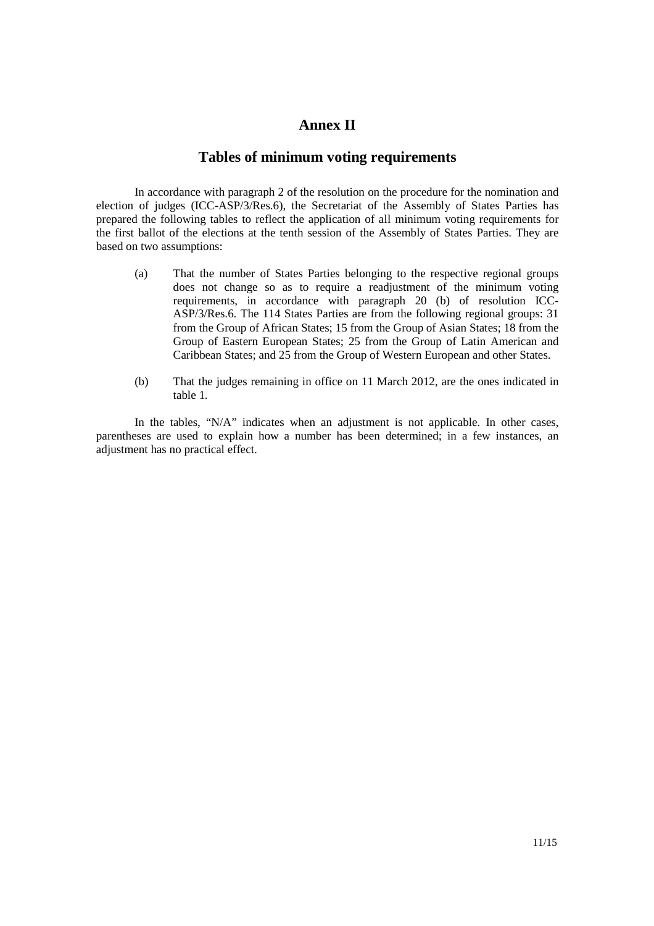### **Annex II**

#### **Tables of minimum voting requirements**

In accordance with paragraph 2 of the resolution on the procedure for the nomination and election of judges (ICC-ASP/3/Res.6), the Secretariat of the Assembly of States Parties has prepared the following tables to reflect the application of all minimum voting requirements for the first ballot of the elections at the tenth session of the Assembly of States Parties. They are based on two assumptions:

- (a) That the number of States Parties belonging to the respective regional groups does not change so as to require a readjustment of the minimum voting requirements, in accordance with paragraph 20 (b) of resolution ICC-ASP/3/Res.6. The 114 States Parties are from the following regional groups: 31 from the Group of African States; 15 from the Group of Asian States; 18 from the Group of Eastern European States; 25 from the Group of Latin American and Caribbean States; and 25 from the Group of Western European and other States.
- (b) That the judges remaining in office on 11 March 2012, are the ones indicated in table 1.

In the tables, "N/A" indicates when an adjustment is not applicable. In other cases, parentheses are used to explain how a number has been determined; in a few instances, an adjustment has no practical effect.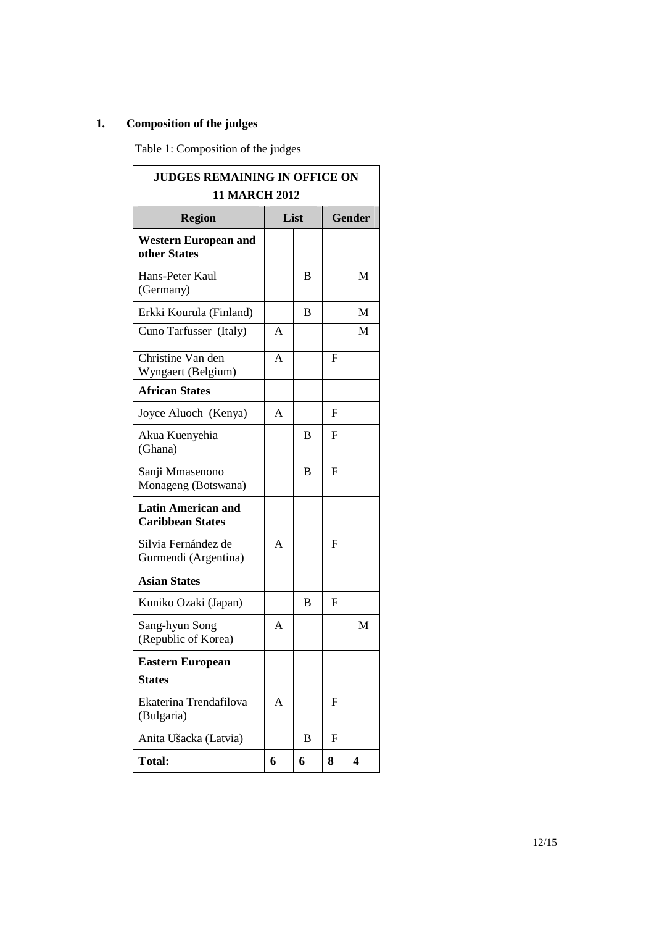# **1. Composition of the judges**

Table 1: Composition of the judges

| <b>JUDGES REMAINING IN OFFICE ON</b><br><b>11 MARCH 2012</b> |        |   |               |   |  |
|--------------------------------------------------------------|--------|---|---------------|---|--|
| <b>Region</b>                                                | List   |   | <b>Gender</b> |   |  |
| <b>Western European and</b><br>other States                  |        |   |               |   |  |
| Hans-Peter Kaul<br>(Germany)                                 |        | B |               | M |  |
| Erkki Kourula (Finland)                                      |        | B |               | M |  |
| Cuno Tarfusser (Italy)                                       | A      |   |               | M |  |
| Christine Van den<br>Wyngaert (Belgium)                      | A<br>F |   |               |   |  |
| <b>African States</b>                                        |        |   |               |   |  |
| Joyce Aluoch (Kenya)                                         | A      |   | F             |   |  |
| Akua Kuenyehia<br>(Ghana)                                    |        | B | F             |   |  |
| Sanji Mmasenono<br>Monageng (Botswana)                       |        | B | F             |   |  |
| <b>Latin American and</b><br><b>Caribbean States</b>         |        |   |               |   |  |
| Silvia Fernández de<br>Gurmendi (Argentina)                  | A      |   | F             |   |  |
| <b>Asian States</b>                                          |        |   |               |   |  |
| Kuniko Ozaki (Japan)                                         |        | B | F             |   |  |
| Sang-hyun Song<br>(Republic of Korea)                        | A      |   |               | M |  |
| <b>Eastern European</b>                                      |        |   |               |   |  |
| <b>States</b>                                                |        |   |               |   |  |
| Ekaterina Trendafilova<br>(Bulgaria)                         | A      |   | F             |   |  |
| Anita Ušacka (Latvia)                                        |        | B | F             |   |  |
| <b>Total:</b>                                                | 6      | 6 | 8             | 4 |  |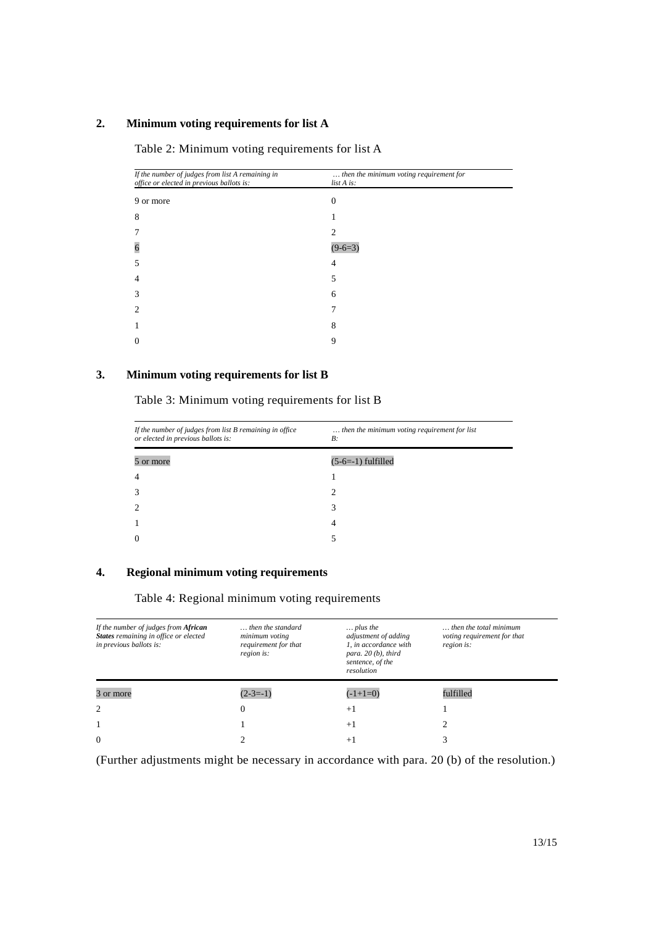#### **2. Minimum voting requirements for list A**

| If the number of judges from list A remaining in<br>office or elected in previous ballots is: | then the minimum voting requirement for<br>list A is: |
|-----------------------------------------------------------------------------------------------|-------------------------------------------------------|
| 9 or more                                                                                     | 0                                                     |
| 8                                                                                             |                                                       |
|                                                                                               | 2                                                     |
| 6                                                                                             | $(9-6=3)$                                             |
| 5                                                                                             | 4                                                     |
| 4                                                                                             | 5                                                     |
| 3                                                                                             | 6                                                     |
| 2                                                                                             |                                                       |
|                                                                                               | 8                                                     |
| $\Omega$                                                                                      | 9                                                     |

Table 2: Minimum voting requirements for list A

#### **3. Minimum voting requirements for list B**

Table 3: Minimum voting requirements for list B

| If the number of judges from list B remaining in office<br>or elected in previous ballots is: | then the minimum voting requirement for list<br>$B$ : |
|-----------------------------------------------------------------------------------------------|-------------------------------------------------------|
| 5 or more                                                                                     | $(5-6=-1)$ fulfilled                                  |
| $\overline{4}$                                                                                |                                                       |
| $\mathcal{R}$                                                                                 |                                                       |
| ာ                                                                                             | 3                                                     |
|                                                                                               | 4                                                     |
| 0                                                                                             |                                                       |

#### **4. Regional minimum voting requirements**

#### Table 4: Regional minimum voting requirements

| If the number of judges from African<br>States remaining in office or elected<br>in previous ballots is: | then the standard<br>minimum voting<br>requirement for that<br>region is: | $\ldots$ plus the<br>adjustment of adding<br>1. in accordance with<br>para. $20(b)$ , third<br>sentence, of the<br>resolution | then the total minimum<br>voting requirement for that<br>region is: |
|----------------------------------------------------------------------------------------------------------|---------------------------------------------------------------------------|-------------------------------------------------------------------------------------------------------------------------------|---------------------------------------------------------------------|
| 3 or more                                                                                                | $(2-3=-1)$                                                                | $(-1+1=0)$                                                                                                                    | fulfilled                                                           |
|                                                                                                          |                                                                           |                                                                                                                               |                                                                     |
| $\overline{2}$                                                                                           | 0                                                                         | $+1$                                                                                                                          |                                                                     |
|                                                                                                          |                                                                           | $+1$                                                                                                                          |                                                                     |

(Further adjustments might be necessary in accordance with para. 20 (b) of the resolution.)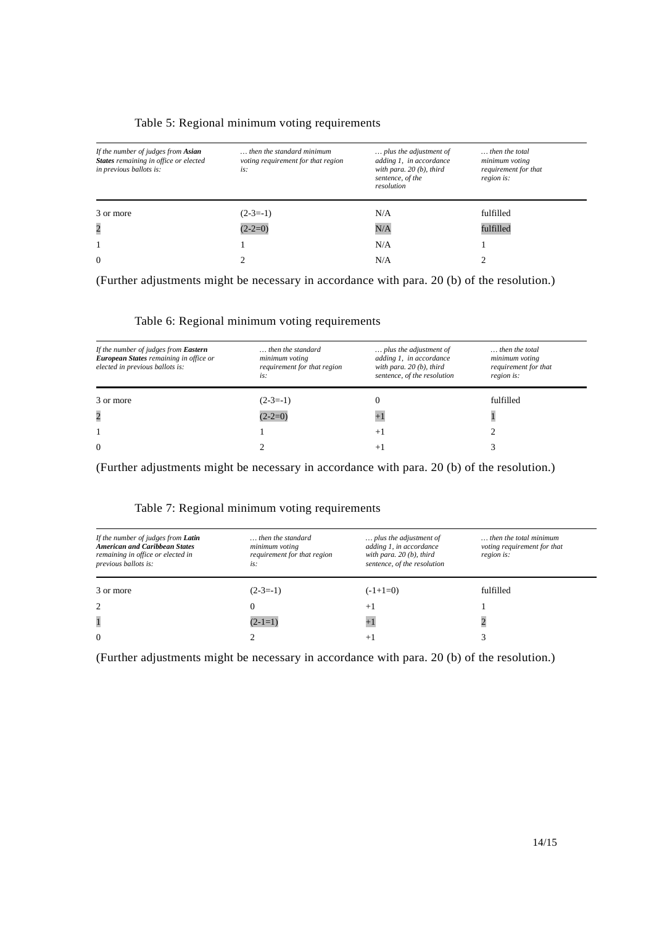#### Table 5: Regional minimum voting requirements

| If the number of judges from <b>Asian</b><br>States remaining in office or elected<br>in previous ballots is: | then the standard minimum<br>voting requirement for that region<br>is: | plus the adjustment of<br>adding 1, in accordance<br>with para. $20(b)$ , third<br>sentence, of the<br>resolution | then the total<br>minimum voting<br>requirement for that<br>region is: |
|---------------------------------------------------------------------------------------------------------------|------------------------------------------------------------------------|-------------------------------------------------------------------------------------------------------------------|------------------------------------------------------------------------|
| 3 or more                                                                                                     | $(2-3=-1)$                                                             | N/A                                                                                                               | fulfilled                                                              |
| $\overline{c}$                                                                                                | $(2-2=0)$                                                              | N/A                                                                                                               | fulfilled                                                              |
|                                                                                                               |                                                                        | N/A                                                                                                               |                                                                        |
| $\Omega$                                                                                                      |                                                                        | N/A                                                                                                               |                                                                        |

(Further adjustments might be necessary in accordance with para. 20 (b) of the resolution.)

| If the number of judges from Eastern<br>European States remaining in office or<br>elected in previous ballots is: | then the standard<br>minimum voting<br>requirement for that region<br>is: | plus the adjustment of<br>adding 1, in accordance<br>with para. $20(b)$ , third<br>sentence, of the resolution | then the total<br>minimum voting<br>requirement for that<br>region is: |
|-------------------------------------------------------------------------------------------------------------------|---------------------------------------------------------------------------|----------------------------------------------------------------------------------------------------------------|------------------------------------------------------------------------|
| 3 or more                                                                                                         | $(2-3=-1)$                                                                |                                                                                                                | fulfilled                                                              |
| $\overline{c}$                                                                                                    | $(2-2=0)$                                                                 |                                                                                                                |                                                                        |
|                                                                                                                   |                                                                           | $+1$                                                                                                           |                                                                        |
| $\Omega$                                                                                                          |                                                                           | $+$                                                                                                            |                                                                        |

#### Table 6: Regional minimum voting requirements

(Further adjustments might be necessary in accordance with para. 20 (b) of the resolution.)

#### Table 7: Regional minimum voting requirements

| If the number of judges from Latin<br><b>American and Caribbean States</b><br>remaining in office or elected in<br>previous ballots is: | then the standard<br>minimum voting<br>requirement for that region<br>is: | plus the adjustment of<br>adding 1, in accordance<br>with para. $20(b)$ , third<br>sentence, of the resolution | then the total minimum<br>voting requirement for that<br>region is: |
|-----------------------------------------------------------------------------------------------------------------------------------------|---------------------------------------------------------------------------|----------------------------------------------------------------------------------------------------------------|---------------------------------------------------------------------|
| 3 or more                                                                                                                               | $(2-3=-1)$                                                                | $(-1+1=0)$                                                                                                     | fulfilled                                                           |
| 2                                                                                                                                       | 0                                                                         | $+1$                                                                                                           |                                                                     |
| $\mathbf{1}$                                                                                                                            | $(2-1=1)$                                                                 |                                                                                                                |                                                                     |
| $\theta$                                                                                                                                |                                                                           | $+$                                                                                                            |                                                                     |

(Further adjustments might be necessary in accordance with para. 20 (b) of the resolution.)